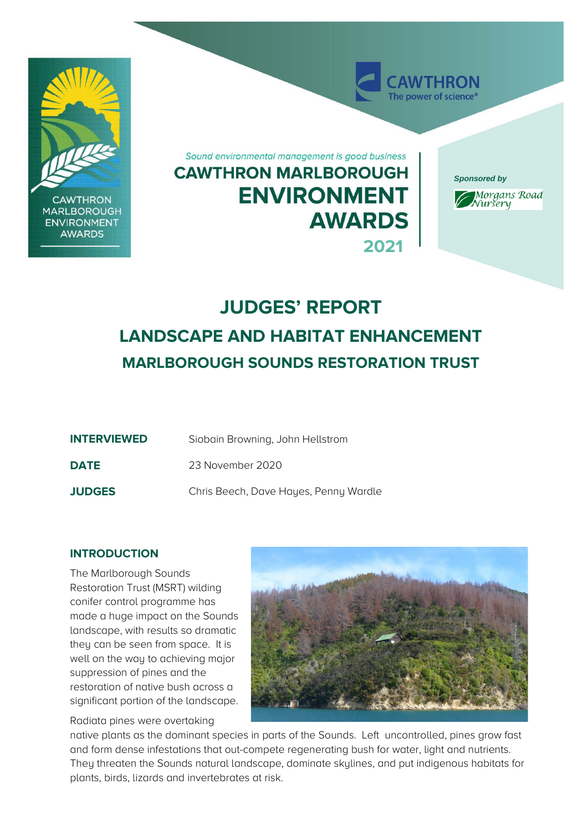

# **JUDGES' REPORT LANDSCAPE AND HABITAT ENHANCEMENT MARLBOROUGH SOUNDS RESTORATION TRUST**

| <b>INTERVIEWED</b> | Siobain Browning, John Hellstrom      |
|--------------------|---------------------------------------|
| <b>DATE</b>        | 23 November 2020                      |
| <b>JUDGES</b>      | Chris Beech, Dave Hayes, Penny Wardle |

## **INTRODUCTION**

The Marlborough Sounds Restoration Trust (MSRT) wilding conifer control programme has made a huge impact on the Sounds landscape, with results so dramatic they can be seen from space. It is well on the way to achieving major suppression of pines and the restoration of native bush across a significant portion of the landscape.

Radiata pines were overtaking



native plants as the dominant species in parts of the Sounds. Left uncontrolled, pines grow fast and form dense infestations that out-compete regenerating bush for water, light and nutrients. They threaten the Sounds natural landscape, dominate skylines, and put indigenous habitats for plants, birds, lizards and invertebrates at risk.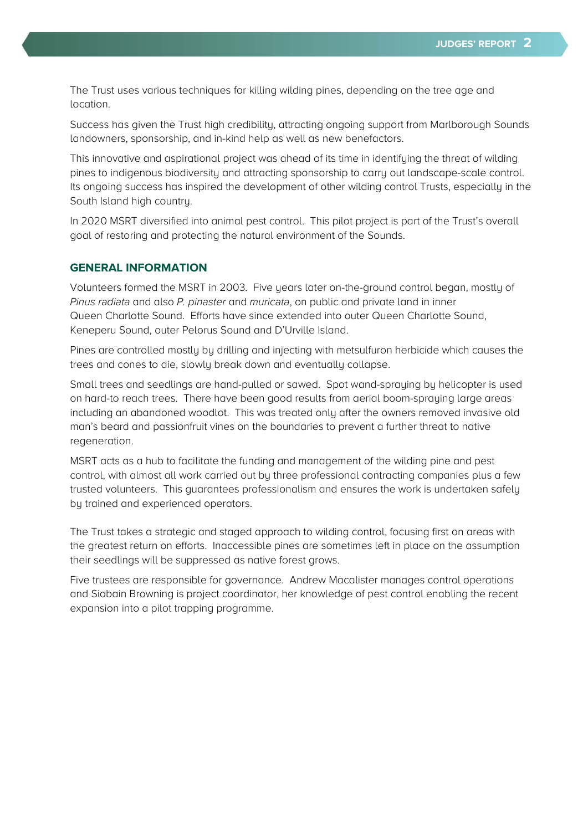The Trust uses various techniques for killing wilding pines, depending on the tree age and location.

Success has given the Trust high credibility, attracting ongoing support from Marlborough Sounds landowners, sponsorship, and in-kind help as well as new benefactors.

This innovative and aspirational project was ahead of its time in identifying the threat of wilding pines to indigenous biodiversity and attracting sponsorship to carry out landscape-scale control. Its ongoing success has inspired the development of other wilding control Trusts, especially in the South Island high country.

In 2020 MSRT diversified into animal pest control. This pilot project is part of the Trust's overall goal of restoring and protecting the natural environment of the Sounds.

## **GENERAL INFORMATION**

Volunteers formed the MSRT in 2003. Five years later on-the-ground control began, mostly of Pinus radiata and also P. pinaster and muricata, on public and private land in inner Queen Charlotte Sound. Efforts have since extended into outer Queen Charlotte Sound, Keneperu Sound, outer Pelorus Sound and D'Urville Island.

Pines are controlled mostly by drilling and injecting with metsulfuron herbicide which causes the trees and cones to die, slowly break down and eventually collapse.

Small trees and seedlings are hand-pulled or sawed. Spot wand-spraying by helicopter is used on hard-to reach trees. There have been good results from aerial boom-spraying large areas including an abandoned woodlot. This was treated only after the owners removed invasive old man's beard and passionfruit vines on the boundaries to prevent a further threat to native regeneration.

MSRT acts as a hub to facilitate the funding and management of the wilding pine and pest control, with almost all work carried out by three professional contracting companies plus a few trusted volunteers. This guarantees professionalism and ensures the work is undertaken safely by trained and experienced operators.

The Trust takes a strategic and staged approach to wilding control, focusing first on areas with the greatest return on efforts. Inaccessible pines are sometimes left in place on the assumption their seedlings will be suppressed as native forest grows.

Five trustees are responsible for governance. Andrew Macalister manages control operations and Siobain Browning is project coordinator, her knowledge of pest control enabling the recent expansion into a pilot trapping programme.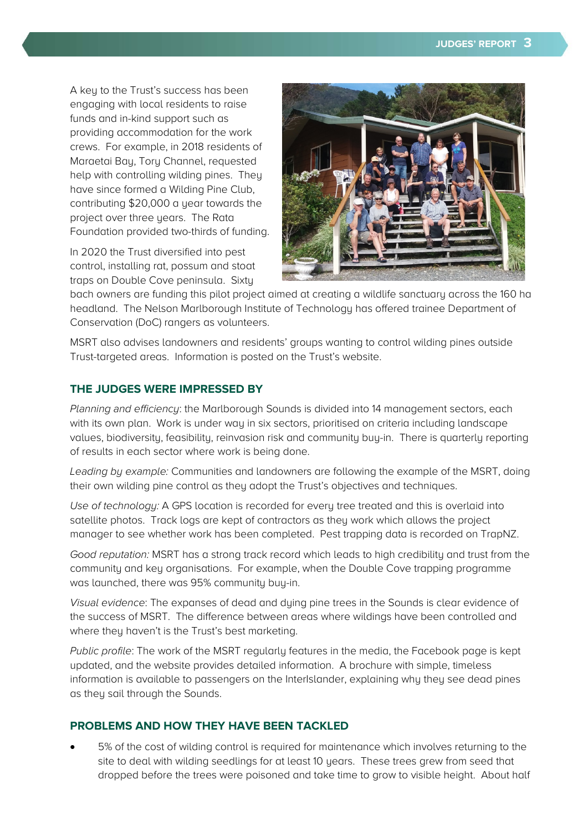A key to the Trust's success has been engaging with local residents to raise funds and in-kind support such as providing accommodation for the work crews. For example, in 2018 residents of Maraetai Bay, Tory Channel, requested help with controlling wilding pines. They have since formed a Wilding Pine Club, contributing \$20,000 a year towards the project over three years. The Rata Foundation provided two-thirds of funding.

In 2020 the Trust diversified into pest control, installing rat, possum and stoat traps on Double Cove peninsula. Sixty



bach owners are funding this pilot project aimed at creating a wildlife sanctuary across the 160 ha headland. The Nelson Marlborough Institute of Technology has offered trainee Department of Conservation (DoC) rangers as volunteers.

MSRT also advises landowners and residents' groups wanting to control wilding pines outside Trust-targeted areas. Information is posted on the Trust's website.

## **THE JUDGES WERE IMPRESSED BY**

Planning and efficiency: the Marlborough Sounds is divided into 14 management sectors, each with its own plan. Work is under way in six sectors, prioritised on criteria including landscape values, biodiversity, feasibility, reinvasion risk and community buy-in. There is quarterly reporting of results in each sector where work is being done.

Leading by example: Communities and landowners are following the example of the MSRT, doing their own wilding pine control as they adopt the Trust's objectives and techniques.

Use of technology: A GPS location is recorded for every tree treated and this is overlaid into satellite photos. Track logs are kept of contractors as they work which allows the project manager to see whether work has been completed. Pest trapping data is recorded on TrapNZ.

Good reputation: MSRT has a strong track record which leads to high credibility and trust from the community and key organisations. For example, when the Double Cove trapping programme was launched, there was 95% community buy-in.

Visual evidence: The expanses of dead and dying pine trees in the Sounds is clear evidence of the success of MSRT. The difference between areas where wildings have been controlled and where they haven't is the Trust's best marketing.

Public profile: The work of the MSRT regularly features in the media, the Facebook page is kept updated, and the website provides detailed information. A brochure with simple, timeless information is available to passengers on the InterIslander, explaining why they see dead pines as they sail through the Sounds.

## **PROBLEMS AND HOW THEY HAVE BEEN TACKLED**

• 5% of the cost of wilding control is required for maintenance which involves returning to the site to deal with wilding seedlings for at least 10 years. These trees grew from seed that dropped before the trees were poisoned and take time to grow to visible height. About half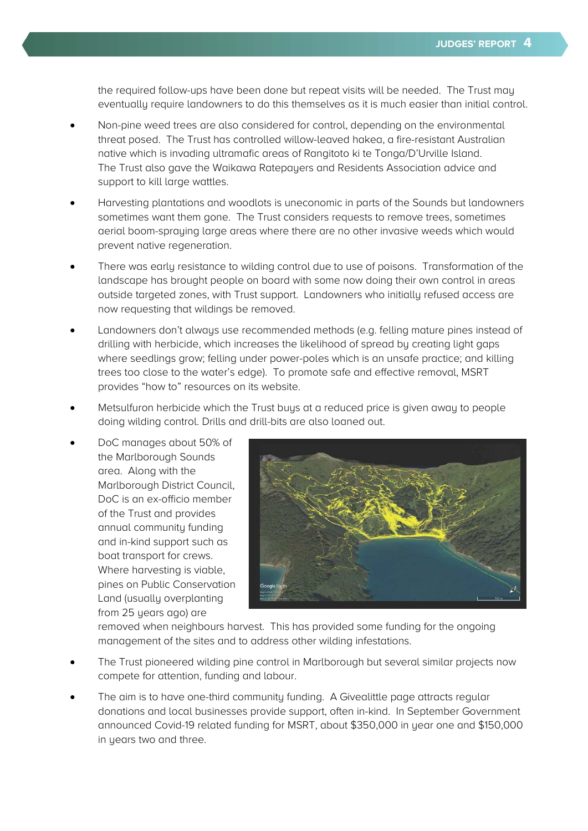the required follow-ups have been done but repeat visits will be needed. The Trust may eventually require landowners to do this themselves as it is much easier than initial control.

- Non-pine weed trees are also considered for control, depending on the environmental threat posed. The Trust has controlled willow-leaved hakea, a fire-resistant Australian native which is invading ultramafic areas of Rangitoto ki te Tonga/D'Urville Island. The Trust also gave the Waikawa Ratepayers and Residents Association advice and support to kill large wattles.
- Harvesting plantations and woodlots is uneconomic in parts of the Sounds but landowners sometimes want them gone. The Trust considers requests to remove trees, sometimes aerial boom-spraying large areas where there are no other invasive weeds which would prevent native regeneration.
- There was early resistance to wilding control due to use of poisons. Transformation of the landscape has brought people on board with some now doing their own control in areas outside targeted zones, with Trust support. Landowners who initially refused access are now requesting that wildings be removed.
- Landowners don't always use recommended methods (e.g. felling mature pines instead of drilling with herbicide, which increases the likelihood of spread by creating light gaps where seedlings grow; felling under power-poles which is an unsafe practice; and killing trees too close to the water's edge). To promote safe and effective removal, MSRT provides "how to" resources on its website.
- Metsulfuron herbicide which the Trust buys at a reduced price is given away to people doing wilding control. Drills and drill-bits are also loaned out.
- DoC manages about 50% of the Marlborough Sounds area. Along with the Marlborough District Council, DoC is an ex-officio member of the Trust and provides annual community funding and in-kind support such as boat transport for crews. Where harvesting is viable, pines on Public Conservation Land (usually overplanting from 25 years ago) are



removed when neighbours harvest. This has provided some funding for the ongoing management of the sites and to address other wilding infestations.

- The Trust pioneered wilding pine control in Marlborough but several similar projects now compete for attention, funding and labour.
- The aim is to have one-third community funding. A Givealittle page attracts regular donations and local businesses provide support, often in-kind. In September Government announced Covid-19 related funding for MSRT, about \$350,000 in year one and \$150,000 in years two and three.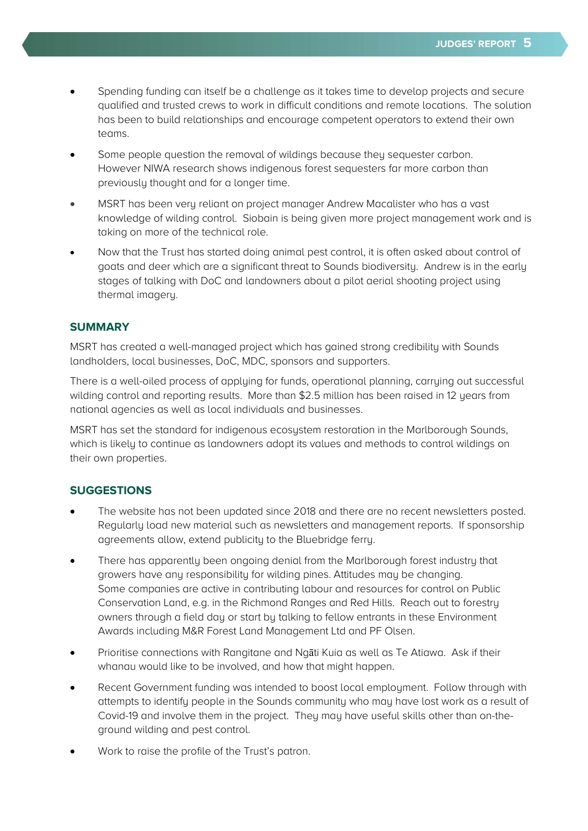- Spending funding can itself be a challenge as it takes time to develop projects and secure qualified and trusted crews to work in difficult conditions and remote locations. The solution has been to build relationships and encourage competent operators to extend their own teams.
- Some people question the removal of wildings because they sequester carbon. However NIWA research shows indigenous forest sequesters far more carbon than previously thought and for a longer time.
- MSRT has been very reliant on project manager Andrew Macalister who has a vast knowledge of wilding control. Siobain is being given more project management work and is taking on more of the technical role.
- Now that the Trust has started doing animal pest control, it is often asked about control of goats and deer which are a significant threat to Sounds biodiversity. Andrew is in the early stages of talking with DoC and landowners about a pilot aerial shooting project using thermal imagery.

## **SUMMARY**

MSRT has created a well-managed project which has gained strong credibility with Sounds landholders, local businesses, DoC, MDC, sponsors and supporters.

There is a well-oiled process of applying for funds, operational planning, carrying out successful wilding control and reporting results. More than \$2.5 million has been raised in 12 years from national agencies as well as local individuals and businesses.

MSRT has set the standard for indigenous ecosystem restoration in the Marlborough Sounds, which is likely to continue as landowners adopt its values and methods to control wildings on their own properties.

## **SUGGESTIONS**

- The website has not been updated since 2018 and there are no recent newsletters posted. Regularly load new material such as newsletters and management reports. If sponsorship agreements allow, extend publicity to the Bluebridge ferry.
- There has apparently been ongoing denial from the Marlborough forest industry that growers have any responsibility for wilding pines. Attitudes may be changing. Some companies are active in contributing labour and resources for control on Public Conservation Land, e.g. in the Richmond Ranges and Red Hills. Reach out to forestry owners through a field day or start by talking to fellow entrants in these Environment Awards including M&R Forest Land Management Ltd and PF Olsen.
- Prioritise connections with Rangitane and Ngāti Kuia as well as Te Atiawa. Ask if their whanau would like to be involved, and how that might happen.
- Recent Government funding was intended to boost local employment. Follow through with attempts to identify people in the Sounds community who may have lost work as a result of Covid-19 and involve them in the project. They may have useful skills other than on-theground wilding and pest control.
- Work to raise the profile of the Trust's patron.